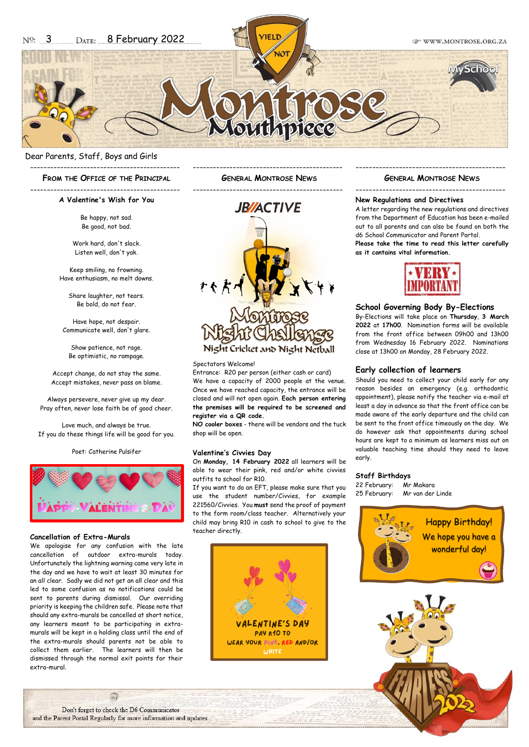Dear Parents, Staff, Boys and Girls

---------------------------------------------

**FROM THE OFFICE OF THE PRINCIPAL**

--------------------------------------------- **A Valentine's Wish for You**

> Be happy, not sad. Be good, not bad.

Work hard, don't slack. Listen well, don't yak.

Keep smiling, no frowning. Have enthusiasm, no melt downs.

Share laughter, not tears. Be bold, do not fear.

Have hope, not despair. Communicate well, don't glare.

Show patience, not rage. Be optimistic, no rampage.

Accept change, do not stay the same. Accept mistakes, never pass on blame.

Always persevere, never give up my dear. Pray often, never lose faith be of good cheer.

Love much, and always be true. If you do these things life will be good for you.

Poet: Catherine Pulsifer



#### **Cancellation of Extra-Murals**

We apologise for any confusion with the late cancellation of outdoor extra-murals today. Unfortunately the lightning warning came very late in the day and we have to wait at least 30 minutes for an all clear. Sadly we did not get an all clear and this led to some confusion as no notifications could be sent to parents during dismissal. Our overriding priority is keeping the children safe. Please note that should any extra-murals be cancelled at short notice, any learners meant to be participating in extramurals will be kept in a holding class until the end of the extra-murals should parents not be able to collect them earlier. The learners will then be dismissed through the normal exit points for their extra-mural.

--------------------------------------------- **GENERAL MONTROSE NEWS**



#### Spectators Welcome!

Entrance: R20 per person (either cash or card) We have a capacity of 2000 people at the venue. Once we have reached capacity, the entrance will be closed and will not open again. **Each person entering the premises will be required to be screened and register via a QR code.**

**NO cooler boxes** - there will be vendors and the tuck shop will be open.

#### **Valentine's Civvies Day**

On **Monday, 14 February 2022** all learners will be able to wear their pink, red and/or white civvies outfits to school for R10.

If you want to do an EFT, please make sure that you use the student number/Civvies, for example 221560/Civvies. You **must** send the proof of payment to the form room/class teacher. Alternatively your child may bring R10 in cash to school to give to the teacher directly.



### --------------------------------------------- **GENERAL MONTROSE NEWS**

---------------------------------------------

#### **New Regulations and Directives**

A letter regarding the new regulations and directives from the Department of Education has been e-mailed out to all parents and can also be found on both the d6 School Communicator and Parent Portal. **Please take the time to read this letter carefully** 

**as it contains vital information.**



# **School Governing Body By-Elections**

By-Elections will take place on **Thursday**, **3 March 2022** at **17h00**. Nomination forms will be available from the front office between 09h00 and 13h00 from Wednesday 16 February 2022. Nominations close at 13h00 on Monday, 28 February 2022.

#### **Early collection of learners**

Should you need to collect your child early for any reason besides an emergency (e.g. orthodontic appointment), please notify the teacher via e-mail at least a day in advance so that the front office can be made aware of the early departure and the child can be sent to the front office timeously on the day. We do however ask that appointments during school hours are kept to a minimum as learners miss out on valuable teaching time should they need to leave early.

#### **Staff Birthdays**

22 February: Mr Makara 25 February: Mr van der Linde



Don't forget to check the D6 Communicator and the Parent Portal Regularly for more information and updates.

E